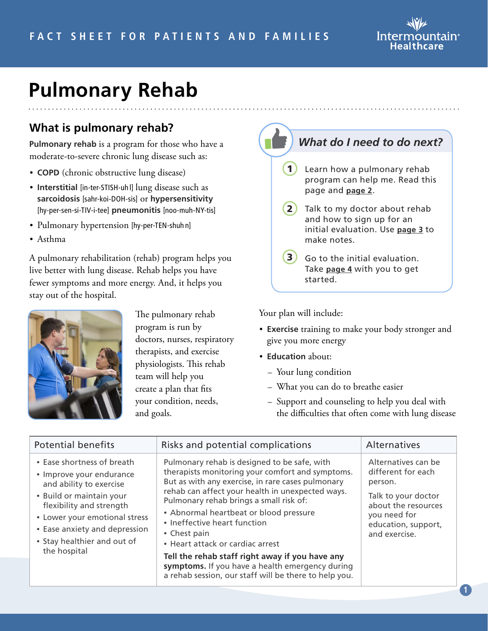

## **Pulmonary Rehab**

#### **What is pulmonary rehab?**

**Pulmonary rehab** is a program for those who have a moderate-to-severe chronic lung disease such as:

- **COPD** (chronic obstructive lung disease)
- **Interstitial** [in-ter-STISH-uh l] lung disease such as **sarcoidosis** [sahr-koi-DOH-sis] or **hypersensitivity** [hy-per-sen-si-TIV-i-tee] **pneumonitis** [noo-muh-NY-tis]
- Pulmonary hypertension [hy-per-TEN-shuh n]
- Asthma

A pulmonary rehabilitation (rehab) program helps you live better with lung disease. Rehab helps you have fewer symptoms and more energy. And, it helps you stay out of the hospital.



The pulmonary rehab program is run by doctors, nurses, respiratory therapists, and exercise physiologists. This rehab team will help you create a plan that fits your condition, needs, and goals.



Your plan will include:

- **Exercise** training to make your body stronger and give you more energy
- **Education** about:
	- Your lung condition
	- What you can do to breathe easier
	- Support and counseling to help you deal with the difficulties that often come with lung disease

| <b>Potential benefits</b>                                                                                                                                                                                                                                  | Risks and potential complications                                                                                                                                                                                                                                                                                                                                                                                                                                                                                                                 | <b>Alternatives</b>                                                                                                                                        |
|------------------------------------------------------------------------------------------------------------------------------------------------------------------------------------------------------------------------------------------------------------|---------------------------------------------------------------------------------------------------------------------------------------------------------------------------------------------------------------------------------------------------------------------------------------------------------------------------------------------------------------------------------------------------------------------------------------------------------------------------------------------------------------------------------------------------|------------------------------------------------------------------------------------------------------------------------------------------------------------|
| • Ease shortness of breath<br>• Improve your endurance<br>and ability to exercise<br>• Build or maintain your<br>flexibility and strength<br>• Lower your emotional stress<br>• Ease anxiety and depression<br>• Stay healthier and out of<br>the hospital | Pulmonary rehab is designed to be safe, with<br>therapists monitoring your comfort and symptoms.<br>But as with any exercise, in rare cases pulmonary<br>rehab can affect your health in unexpected ways.<br>Pulmonary rehab brings a small risk of:<br>• Abnormal heartbeat or blood pressure<br>• Ineffective heart function<br>• Chest pain<br>• Heart attack or cardiac arrest<br>Tell the rehab staff right away if you have any<br>symptoms. If you have a health emergency during<br>a rehab session, our staff will be there to help you. | Alternatives can be<br>different for each<br>person.<br>Talk to your doctor<br>about the resources<br>you need for<br>education, support,<br>and exercise. |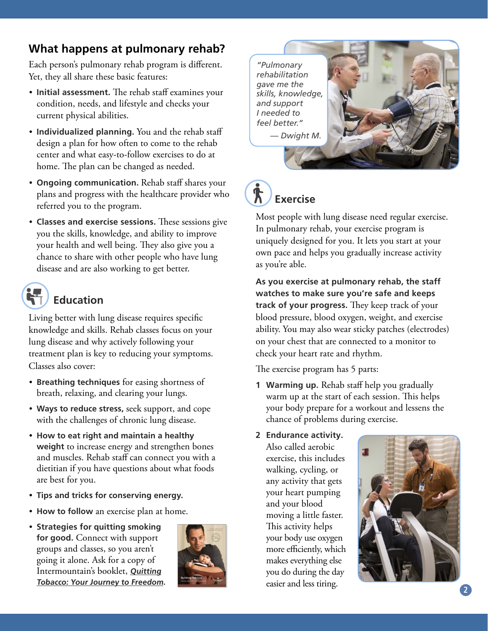#### **What happens at pulmonary rehab?**

Each person's pulmonary rehab program is different. Yet, they all share these basic features:

- **Initial assessment.** The rehab staff examines your condition, needs, and lifestyle and checks your current physical abilities.
- **Individualized planning.** You and the rehab staff design a plan for how often to come to the rehab center and what easy-to-follow exercises to do at home. The plan can be changed as needed.
- **Ongoing communication.** Rehab staff shares your plans and progress with the healthcare provider who referred you to the program.
- **Classes and exercise sessions.** These sessions give you the skills, knowledge, and ability to improve your health and well being. They also give you a chance to share with other people who have lung disease and are also working to get better.

### **Education**

Living better with lung disease requires specific knowledge and skills. Rehab classes focus on your lung disease and why actively following your treatment plan is key to reducing your symptoms. Classes also cover:

- **Breathing techniques** for easing shortness of breath, relaxing, and clearing your lungs.
- **Ways to reduce stress,** seek support, and cope with the challenges of chronic lung disease.
- **How to eat right and maintain a healthy weight** to increase energy and strengthen bones and muscles. Rehab staff can connect you with a dietitian if you have questions about what foods are best for you.
- **Tips and tricks for conserving energy.**
- **How to follow** an exercise plan at home.
- **Strategies for quitting smoking for good.** Connect with support groups and classes, so you aren't going it alone. Ask for a copy of Intermountain's booklet, **[Quitting](https://kr.ihc.com/ext/Dcmnt?ncid=51062043&tfrm=default) [Tobacco: Your Journey to](https://kr.ihc.com/ext/Dcmnt?ncid=51062043&tfrm=default) Freedom.**



*"Pulmonary rehabilitation gave me the skills, knowledge, and support I needed to feel better." — Dwight M.*





Most people with lung disease need regular exercise. In pulmonary rehab, your exercise program is uniquely designed for you. It lets you start at your own pace and helps you gradually increase activity as you're able.

**As you exercise at pulmonary rehab, the staff watches to make sure you're safe and keeps track of your progress.** They keep track of your blood pressure, blood oxygen, weight, and exercise ability. You may also wear sticky patches (electrodes) on your chest that are connected to a monitor to check your heart rate and rhythm.

The exercise program has 5 parts:

- **1 Warming up.** Rehab staff help you gradually warm up at the start of each session. This helps your body prepare for a workout and lessens the chance of problems during exercise.
- **2 Endurance activity.**

Also called aerobic exercise, this includes walking, cycling, or any activity that gets your heart pumping and your blood moving a little faster. This activity helps your body use oxygen more efficiently, which makes everything else you do during the day easier and less tiring.

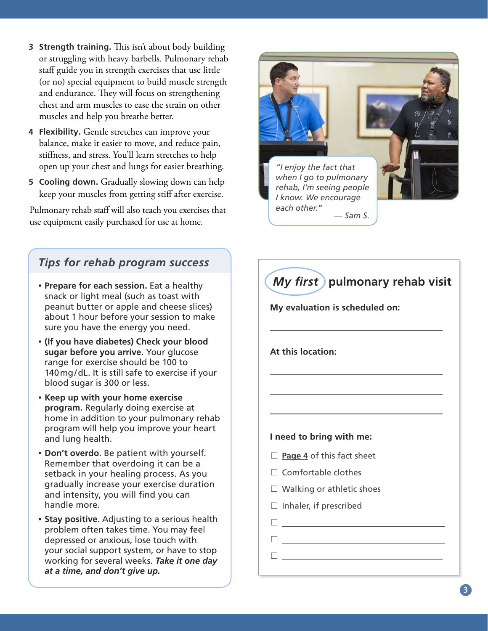- <span id="page-2-0"></span>**3 Strength training.** This isn't about body building or struggling with heavy barbells. Pulmonary rehab staff guide you in strength exercises that use little (or no) special equipment to build muscle strength and endurance. They will focus on strengthening chest and arm muscles to ease the strain on other muscles and help you breathe better.
- **4 Flexibility.** Gentle stretches can improve your balance, make it easier to move, and reduce pain, stiffness, and stress. You'll learn stretches to help open up your chest and lungs for easier breathing.
- **5 Cooling down.** Gradually slowing down can help keep your muscles from getting stiff after exercise.

Pulmonary rehab staff will also teach you exercises that use equipment easily purchased for use at home.

#### *Tips for rehab program success*

- **Prepare for each session.** Eat a healthy snack or light meal (such as toast with peanut butter or apple and cheese slices) about 1 hour before your session to make sure you have the energy you need.
- **(If you have diabetes) Check your blood sugar before you arrive.** Your glucose range for exercise should be 100 to 140mg/dL. It is still safe to exercise if your blood sugar is 300 or less.
- **Keep up with your home exercise program.** Regularly doing exercise at home in addition to your pulmonary rehab program will help you improve your heart and lung health.
- **Don't overdo.** Be patient with yourself. Remember that overdoing it can be a setback in your healing process. As you gradually increase your exercise duration and intensity, you will find you can handle more.
- **Stay positive**. Adjusting to a serious health problem often takes time. You may feel depressed or anxious, lose touch with your social support system, or have to stop working for several weeks. *Take it one day at a time, and don't give up.*



# *My first* **pulmonary rehab visit**

**My evaluation is scheduled on:**

**At this location:**

#### **I need to bring with me:**

- □ **Page 4** of this fact sheet
- $\Box$  Comfortable clothes
- $\Box$  Walking or athletic shoes
- $\Box$  Inhaler, if prescribed